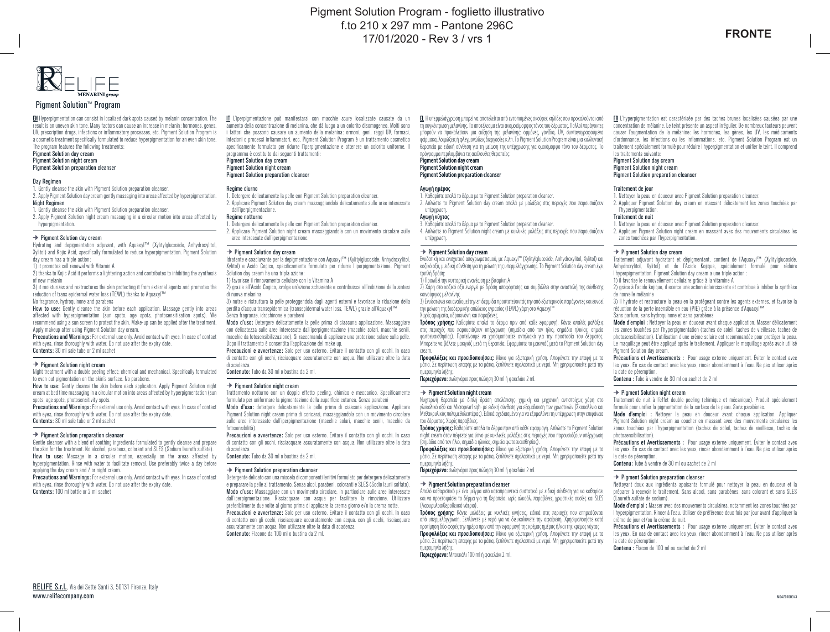

### Pigment Solution™ Program

EN Hyperpigmentation can consist in localized dark spots caused by melanin concentration. The result is an uneven skin tone. Many factors can cause an increase in melanin: hormones, genes, UV, prescription drugs, infections or inflammatory processes, etc. Pigment Solution Program is a cosmetic treatment specifically formulated to reduce hyperpigmentation for an even skin tone. The program features the following treatments:

Pigment Solution day cream Pigment Solution night cream

Pigment Solution preparation cleanser

#### **Day Regimen**

1. Gently cleanse the skin with Pigment Solution preparation cleanser.

2. Apply Pigment Solution day cream gently massaging into areas affected by hyperpigmentation.

Night Regimen 1. Gently cleanse the skin with Pigment Solution preparation cleanser.

2. Apply Pigment Solution night cream massaging in a circular motion into areas affected by

hyperpigmentation.

### $\rightarrow$  Pigment Solution day cream

Hydrating and depigmentation adjuvant, with Aquaxyl™ (Xylitylglucoside, Anhydroxylitol, Xylitol) and Kojic Acid, specifically formulated to reduce hyperpigmentation. Pigment Solution day cream has a triple action:

1) it promotes cell renewal with Vitamin A

2) thanks to Kojic Acid it performs a lightening action and contributes to inhibiting the synthesis of new melanin

3) it moisturizes and restructures the skin protecting it from external agents and promotes the reduction of trans epidermal water loss (TFWL) thanks to Aquaxyl™ No fragrance, hydroquinone and parabens

How to use: Gently cleanse the skin before each application. Massage gently into areas affected with hyperpigmentation (sun spots, age spots, photosensitization spots). We recommend using a sun screen to protect the skin. Make-up can be applied after the treatment. Apply makeup after using Pigment Solution day cream.

Precautions and Warnings: For external use only. Avoid contact with eyes. In case of contact with eyes, rinse thoroughly with water. Do not use after the expiry date. Contents: 30 ml sale tube or 2 ml sachet

#### $\rightarrow$  Pigment Solution night cream

Night treatment with a double peeling effect; chemical and mechanical. Specifically formulated to even out pigmentation on the skin's surface. No parabens.

How to use: Gently cleanse the skin before each application. Apply Pigment Solution night cream at bed time massaging in a circular motion into areas affected by hyperpigmentation (sun spots, age spots, photosensitivity spots.

Precautions and Warnings: For external use only. Avoid contact with eyes. In case of contact with eyes, rinse thoroughly with water. Do not use after the expiry date. Contents: 30 ml sale tube or 2 ml sachet

#### $\rightarrow$  Pigment Solution preparation cleanser

Gentle cleanser with a blend of soothing ingredients formulated to gently cleanse and prepare the skin for the treatment. No alcohol, parabens, colorant and SLES (Sodium laureth sulfate). How to use: Massage in a circular motion, especially on the areas affected by hyperpigmentation. Rinse with water to facilitate removal. Use preferably twice a day before applying the day cream and / or night cream.

Precautions and Warnings: For external use only. Avoid contact with eyes. In case of contact with eyes, rinse thoroughly with water. Do not use after the expiry date. Contents: 100 ml bottle or 2 ml sachet

IT L'iperpigmentazione può manifestarsi con macchie scure localizzate causate da un aumento della concentrazione di melanina, che dà luogo a un colorito disomogeneo. Molti sono i fattori che possono causare un aumento della melanina: ormoni, geni, raggi UV, farmaci, infezioni o processi infiammatori, ecc. Pigment Solution Program è un trattamento cosmetico specificamente formulato per ridurre l'iperpigmentazione e ottenere un colorito uniforme. Il programma è costituito dai seguenti trattamenti:

Pigment Solution day cream Pigment Solution night cream

### Pigment Solution preparation cleanser

### Regime diurno

- 1. Detergere delicatamente la pelle con Pigment Solution preparation cleanser. 2. Applicare Pigment Solution day cream massaggiandola delicatamente sulle aree interessate dall'inerninmentazione.
- Regime notturno
- 1. Detergere delicatamente la pelle con Pigment Solution preparation cleanser.
- 2. Applicare Pigment Solution night cream massaggiandola con un movimento circolare sulle aree interessate dall'iperpigmentazione.

#### $\rightarrow$  Pigment Solution day cream

Idratante e coadiuvante per la depigmentazione con Aquaxyl™ (Xylitylglucoside, Anhydroxylitol, Xylitol) e Acido Cogico, specificamente formulato per ridurre l'iperpigmentazione. Pigment Solution day cream ha una tripla azione:

- 1) favorisce il rinnovamento cellulare con la Vitamina A
- 2) grazie all'Acido Cogico, svolge un'azione schiarente e contribuisce all'inibizione della sintesi di nuova melanina 3) nutre e ristruttura la pelle proteggendola dagli agenti esterni e favorisce la riduzione della

perdita d'acqua transepidermica (transepidermal water loss, TEWL) grazie all'Aquaxyl™ Senza fragranze, idrochinone e parabeni

Modo d'uso: Detergere delicatamente la pelle prima di ciascuna applicazione. Massaggiare con delicatezza sulle aree interessate dall'iperpigmentazione (macchie solari, macchie senili, macchie da fotosensibilizzazione). Si raccomanda di applicare una protezione solare sulla pelle. Dopo il trattamento è consentita l'applicazione del make up.

Precauzioni e avvertenze: Solo per uso esterno. Evitare il contatto con gli occhi. In caso di contatto con gli occhi, risciacquare accuratamente con acqua. Non utilizzare oltre la data di scadenza. Contenuto: Tubo da 30 ml o bustina da 2 ml.

### $\rightarrow$  Pigment Solution night cream

Trattamento notturno con un doppio effetto peeling, chimico e meccanico. Specificamente formulato per uniformare la pigmentazione della superficie cutanea. Senza parabeni

Modo d'uso: detergere delicatamente la pelle prima di ciascuna applicazione. Applicare Pigment Solution night cream prima di coricarsi, massaggiandola con un movimento circolare sulle aree interessate dall'iperpigmentazione (macchie solari, macchie senili, macchie da fotosensibilità).

Precauzioni e avvertenze: Solo per uso esterno. Evitare il contatto con gli occhi. In caso di contatto con gli occhi, risciacquare accuratamente con acqua. Non utilizzare oltre la data di scadenza.

Contenuto: Tubo da 30 ml o bustina da 2 ml.

### Pigment Solution preparation cleanser

Detergente delicato con una miscela di componenti lenitivi formulato per detergere delicatamente e preparare la pelle al trattamento. Senza alcol, parabeni, coloranti e SLES (Sodio lauril solfato). Modo d'uso: Massaggiare con un movimento circolare, in particolare sulle aree interessate dall'iperpigmentazione. Risciacquare con acqua per facilitare la rimozione. Utilizzare preferibilmente due volte al giorno prima di applicare la crema giorno e/o la crema notte. Precauzioni e avvertenze: Solo per uso esterno. Evitare il contatto con gli occhi. In caso di contatto con gli occhi, risciacquare accuratamente con acqua. con gli occhi, risciacquare accuratamente con acqua. Non utilizzare oltre la data di scadenza. Contenuto: Flacone da 100 ml o bustina da 2 ml.

EL Η υπερμελάγχρωση μπορεί να αποτελείται από εντοπισμένες σκούρες κηλίδες που προκαλούνται από τη συγκέντρωση μελανίνης. Το αποτέλεσμα είναι ανομοιόμορφος τόνος του δέρματος. Πολλοί παράγοντες μπορούν να προκαλέσουν μια αύξηση της μελανίνης: ορμόνες, γονίδια, UV, συνταγογραφούμενα φάρμακα, λοιμώξεις ή φλεγμονώδεις διεργασίες κ.λπ. Το Pigment Solution Program είναι μια καλλυντική θεραπεία με ειδική σύνθεση για τη μείωση της υπέρχρωσης για ομοιόμορφο τόνο του δέρματος. Το πρόγραμμα περιλαμβάνει τις ακόλουθες θεραπείες:

**Pigment Solution day cream Pigment Solution night cream Pigment Solution preparation cleanser**

### **Αγωγή ημέρας**

1. Καθαρίστε απαλά το δέρμα με το Pigment Solution preparation cleanser. 2. Απλώστε το Pigment Solution day cream απαλά με μαλάξεις στις περιοχές που παρουσιάζουν

#### υπέρχρωση. **Αγωγή νύχτας**

3. Καθαρίστε απαλά το δέρμα με το Pigment Solution preparation cleanser.

4. Απλώστε το Pigment Solution night cream με κυκλικές μαλάξεις στις περιοχές που παρουσιάζουν υπέρχρωση.

### **Pigment Solution day cream**

Ενυδατική και ενισχυτικό αποχρωματισμού, με Aquaxyl™ (Xylitylglucoside, Anhydroxylitol, Xylitol) και κοζικό οξύ, μ ειδική σύνθεση για τη μείωση της υπερμελάγχρωσης. Το Pigment Solution day cream έχει τριπλή δράση:

## 1) Προωθεί την κυτταρική ανανέωση με βιταμίνη Α

2) Χάρη στο κοζικό οξύ ενεργεί με δράση αποφόρτισης και συμβάλλει στην αναστολή της σύνθεσης καινούργιας μελανίνης

3) Ενυδατώνει και αναδομεί την επιδερμίδα προστατεύοντάς την από εξωτερικούς παράγοντες και ευνοεί την μείωση της διαδερμικής απώλειας υγρασίας (TEWL) χάρη στο Aquaxyl™ Χωρίς αρώματα, υδροκινόνη και παραβένες.

**Τρόπος χρήσης:** Καθαρίστε απαλά το δέρμα πριν από κάθε εφαρμογή. Κάντε απαλές μαλάξεις στις περιοχές που παρουσιάζουν υπέρχρωση (σημάδια από τον ήλιο, σημάδια ηλικίας, σημεία φωτοευαισθησίας). Προτείνουμε να χρησιμοποιείτε αντηλιακό για την προστασία του δέρματος. Μπορείτε να βάλετε μακιγιάζ μετά τη θεραπεία. Εφαρμόστε το μακιγιάζ μετά το Pigment Solution day cream.

**Προφυλάξεις και προειδοποιήσεις:** Μόνο για εξωτερική χρήση. Αποφύγετε την επαφή με τα μάτια. Σε περίπτωση επαφής με τα μάτια, ξεπλύνετε σχολαστικά με νερό. Μη χρησιμοποιείτε μετά την ημερομηνία λήξης.

**Περιεχόμενο:** σωληνάριο προς πώληση 30 ml ή φακελάκι 2 ml.

### **Pigment Solution night cream**

Νυχτερινή θεραπεία με διπλή δράση απολέπισης· χημική και μηχανική αντιστοίχως χάρη στο γλυκολικό οξύ και Micropearl sqh· με ειδική σύνθεση για εξομάλυνση των χρωστικών (Σκουαλένιο και Μεθακρυλικός πολυμεθυλεστέρας). Ειδικά σχεδιασμένο για να εξομαλύνει τη υπέρχρωση στην επιφάνεια του δέρματος. Χωρίς παραβένες.

**Τρόπος χρήσης:** Καθαρίστε απαλά το δέρμα πριν από κάθε εφαρμογή. Απλώστε το Pigment Solution night cream όταν πέφτετε για ύπνο με κυκλικές μαλάξεις στις περιοχές που παρουσιάζουν υπέρχρωση (σημάδια από τον ήλιο, σημάδια ηλικίας, σημεία φωτοευαισθησίας).

**Προφυλάξεις και προειδοποιήσεις:** Μόνο για εξωτερική χρήση. Αποφύγετε την επαφή με τα μάτια. Σε περίπτωση επαφής με τα μάτια, ξεπλύνετε σχολαστικά με νερό. Μη χρησιμοποιείτε μετά την ημερομηνία λήξης.

**Περιεχόμενο:** σωληνάριο προς πώληση 30 ml ή φακελάκι 2 ml.

### **Pigment Solution preparation cleanser**

Απαλό καθαριστικό με ένα μείγμα από καταπραϋντικά συστατικά με ειδική σύνθεση για να καθαρίσει και να προετοιμάσει το δέρμα για τη θεραπεία. ωρίς αλκοόλ, παραβένες, χρωστικές ουσίες και SLES (Λαουρυλοαιθεροθειικό νάτριο).

**Τρόπος χρήσης:** Κάντε μαλάξεις με κυκλικές κινήσεις, ειδικά στις περιοχές που επηρεάζονται από υπερμελάγχρωση. Ξεπλύνετε με νερό για να διευκολύνετε την αφαίρεση. Χρησιμοποιήστε κατά προτίμηση δύο φορές την ημέρα πριν από την εφαρμογή της κρέμας ημέρας ή/και της κρέμας νύχτας **Προφυλάξεις και προειδοποιήσεις:** Μόνο για εξωτερική χρήση. Αποφύγετε την επαφή με τα μάτια. Σε περίπτωση επαφής με τα μάτια, ξεπλύνετε σχολαστικά με νερό. Μη χρησιμοποιείτε μετά την ημερομηνία λήξης.

**Περιεχόμενο:** Μπουκάλι 100 ml ή φακελάκι 2 ml.

FR L'hyperpigmentation est caractérisée par des taches brunes localisées causées par une concentration de mélanine. Le teint présente un aspect irrégulier. De nombreux facteurs peuvent causer l'augmentation de la mélanine: les hormones, les gènes, les UV, les médicaments d'ordonnance, les infections ou les inflammations, etc. Pigment Solution Program est un traitement spécialement formulé pour réduire l'hyperpigmentation et unifier le teint. Il comprend les traitements suivants:

Pigment Solution day cream Pigment Solution night cream Pigment Solution preparation cleanser

#### Traitement de jour

- 1. Nettoyer la peau en douceur avec Pigment Solution preparation cleanser.
- 2. Appliquer Pigment Solution day cream en massant délicatement les zones touchées par l'hyperpigmentation.

### Traitement de nuit

1. Nettoyer la peau en douceur avec Pigment Solution preparation cleanser. 2. Appliquer Pigment Solution night cream en massant avec des mouvements circulaires les zones touchées par l'hyperpigmentation.

#### $\rightarrow$  Pigment Solution day cream

Traitement adjuvant hydratant et dépigmentant, contient de l'Aquaxyl™ (Xylitylglucoside, Anhydroxylitol, Xylitol) et de l'Acide Kojique, spécialement formulé pour réduire l'hyperpigmentation. Pigment Solution day cream a une triple action : 1) il favorise le renouvellement cellulaire grâce à la vitamine A

2) grâce à l'acide kojique, il exerce une action éclaircissante et contribue à inhiber la synthèse de nouvelle mélanine

3) il hydrate et restructure la peau en la protégeant contre les agents externes, et favorise la réduction de la perte insensible en eau (PIE) grâce à la présence d'Aquaxyl™ Sans parfum, sans hydroquinone et sans parabènes

Mode d'emploi : Nettoyer la peau en douceur avant chaque application. Masser délicatement les zones touchées par l'hyperpigmentation (taches de soleil, taches de vieillesse, taches de photosensibilisation). L'utilisation d'une crème solaire est recommandée pour protéger la peau. Le maquillage peut être appliqué après le traitement. Appliquer le maquillage après avoir utilisé Pigment Solution day cream.

Précautions et Avertissements : Pour usage externe uniquement. Éviter le contact avec les yeux. En cas de contact avec les yeux, rincer abondamment à l'eau. Ne pas utiliser après la date de péremption.

Contenu : Tube à vendre de 30 ml ou sachet de 2 ml

### $\rightarrow$  Pigment Solution night cream

Traitement de nuit à l'effet double peeling (chimique et mécanique). Produit spécialement formulé pour unifier la pigmentation de la surface de la peau. Sans parabènes.

Mode d'emploi : Nettoyer la peau en douceur avant chaque application. Appliquer Pigment Solution night cream au coucher en massant avec des mouvements circulaires les zones touchées par l'hyperpigmentation (taches de soleil, taches de vieillesse, taches de photosensibilisation).

Précautions et Avertissements : Pour usage externe uniquement. Éviter le contact avec les yeux. En cas de contact avec les yeux, rincer abondamment à l'eau. Ne pas utiliser après la date de péremption

Contenu: Tube à vendre de 30 ml ou sachet de 2 ml

### $\rightarrow$  Pigment Solution preparation cleanser

Nettoyant doux aux ingrédients apaisants formulé pour nettoyer la peau en douceur et la préparer à recevoir le traitement. Sans alcool, sans parabènes, sans colorant et sans SLES (Laureth sulfate de sodium).

Mode d'emploi : Masser avec des mouvements circulaires, notamment les zones touchées par l'hyperpigmentation. Rincer à l'eau. Utiliser de préférence deux fois par jour avant d'appliquer la crème de jour et/ou la crème de nuit.

Précautions et Avertissements : Pour usage externe uniquement. Éviter le contact avec les yeux. En cas de contact avec les yeux, rincer abondamment à l'eau. Ne pas utiliser après la date de péremption.

Contenu : Flacon de 100 ml ou sachet de 2 ml